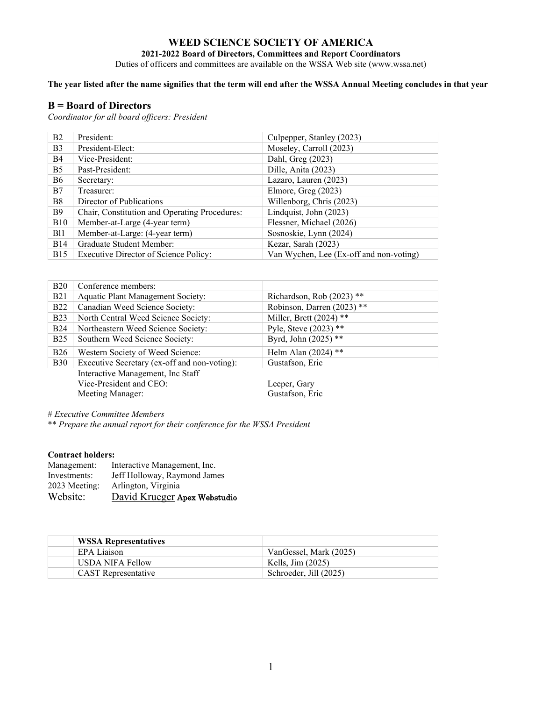# **WEED SCIENCE SOCIETY OF AMERICA**

**2021-2022 Board of Directors, Committees and Report Coordinators**

Duties of officers and committees are available on the WSSA Web site [\(www.wssa.net\)](http://www.wssa.net/)

## **The year listed after the name signifies that the term will end after the WSSA Annual Meeting concludes in that year**

#### **B = Board of Directors**

*Coordinator for all board officers: President*

| B2             | President:                                    | Culpepper, Stanley (2023)               |
|----------------|-----------------------------------------------|-----------------------------------------|
| B <sub>3</sub> | President-Elect:                              | Moseley, Carroll (2023)                 |
| B4             | Vice-President:                               | Dahl, Greg (2023)                       |
| B <sub>5</sub> | Past-President:                               | Dille, Anita (2023)                     |
| <b>B6</b>      | Secretary:                                    | Lazaro, Lauren (2023)                   |
| B7             | Treasurer:                                    | Elmore, Greg (2023)                     |
| B <sub>8</sub> | Director of Publications                      | Willenborg, Chris (2023)                |
| <b>B</b> 9     | Chair, Constitution and Operating Procedures: | Lindquist, John (2023)                  |
| <b>B10</b>     | Member-at-Large (4-year term)                 | Flessner, Michael (2026)                |
| B11            | Member-at-Large: (4-year term)                | Sosnoskie, Lynn (2024)                  |
| <b>B</b> 14    | Graduate Student Member:                      | Kezar, Sarah (2023)                     |
| <b>B</b> 15    | Executive Director of Science Policy:         | Van Wychen, Lee (Ex-off and non-voting) |

| <b>B20</b> | Conference members:                          |                            |
|------------|----------------------------------------------|----------------------------|
| <b>B21</b> | <b>Aquatic Plant Management Society:</b>     | Richardson, Rob (2023) **  |
| <b>B22</b> | Canadian Weed Science Society:               | Robinson, Darren (2023) ** |
| <b>B23</b> | North Central Weed Science Society:          | Miller, Brett $(2024)$ **  |
| <b>B24</b> | Northeastern Weed Science Society:           | Pyle, Steve $(2023)$ **    |
| <b>B25</b> | Southern Weed Science Society:               | Byrd, John (2025) **       |
| <b>B26</b> | Western Society of Weed Science:             | Helm Alan $(2024)$ **      |
| <b>B30</b> | Executive Secretary (ex-off and non-voting): | Gustafson, Eric            |
|            | Interactive Management, Inc Staff            |                            |
|            | Vice-President and CEO:                      | Leeper, Gary               |
|            | Meeting Manager:                             | Gustafson, Eric            |

# *Executive Committee Members*

\*\* *Prepare the annual report for their conference for the WSSA President*

#### **Contract holders:**

| Management:   | Interactive Management, Inc. |
|---------------|------------------------------|
| Investments:  | Jeff Holloway, Raymond James |
| 2023 Meeting: | Arlington, Virginia          |
| Website:      | David Krueger Apex Webstudio |

| <b>WSSA Representatives</b> |                        |
|-----------------------------|------------------------|
| EPA Liaison                 | VanGessel, Mark (2025) |
| <b>USDA NIFA Fellow</b>     | Kells, Jim $(2025)$    |
| <b>CAST</b> Representative  | Schroeder, Jill (2025) |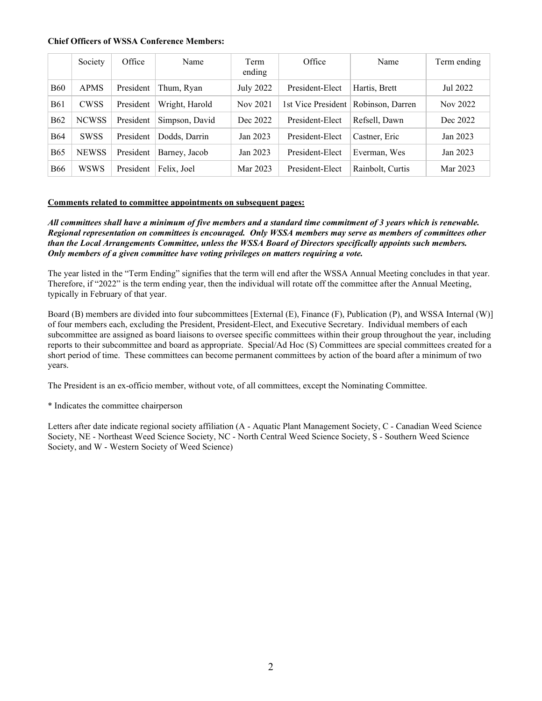#### **Chief Officers of WSSA Conference Members:**

|            | Society      | Office    | Name           | Term<br>ending   | Office             | Name             | Term ending |
|------------|--------------|-----------|----------------|------------------|--------------------|------------------|-------------|
| <b>B60</b> | <b>APMS</b>  | President | Thum, Ryan     | <b>July 2022</b> | President-Elect    | Hartis, Brett    | Jul 2022    |
| <b>B61</b> | <b>CWSS</b>  | President | Wright, Harold | Nov 2021         | 1st Vice President | Robinson, Darren | Nov 2022    |
| <b>B62</b> | <b>NCWSS</b> | President | Simpson, David | Dec 2022         | President-Elect    | Refsell, Dawn    | Dec 2022    |
| <b>B64</b> | <b>SWSS</b>  | President | Dodds, Darrin  | Jan 2023         | President-Elect    | Castner, Eric    | Jan 2023    |
| <b>B65</b> | <b>NEWSS</b> | President | Barney, Jacob  | Jan 2023         | President-Elect    | Everman, Wes     | Jan 2023    |
| <b>B66</b> | WSWS         | President | Felix, Joel    | Mar 2023         | President-Elect    | Rainbolt, Curtis | Mar 2023    |

#### **Comments related to committee appointments on subsequent pages:**

*All committees shall have a minimum of five members and a standard time commitment of 3 years which is renewable. Regional representation on committees is encouraged. Only WSSA members may serve as members of committees other than the Local Arrangements Committee, unless the WSSA Board of Directors specifically appoints such members. Only members of a given committee have voting privileges on matters requiring a vote.*

The year listed in the "Term Ending" signifies that the term will end after the WSSA Annual Meeting concludes in that year. Therefore, if "2022" is the term ending year, then the individual will rotate off the committee after the Annual Meeting, typically in February of that year.

Board (B) members are divided into four subcommittees [External (E), Finance (F), Publication (P), and WSSA Internal (W)] of four members each, excluding the President, President-Elect, and Executive Secretary. Individual members of each subcommittee are assigned as board liaisons to oversee specific committees within their group throughout the year, including reports to their subcommittee and board as appropriate. Special/Ad Hoc (S) Committees are special committees created for a short period of time. These committees can become permanent committees by action of the board after a minimum of two years.

The President is an ex-officio member, without vote, of all committees, except the Nominating Committee.

\* Indicates the committee chairperson

Letters after date indicate regional society affiliation (A - Aquatic Plant Management Society, C - Canadian Weed Science Society, NE - Northeast Weed Science Society, NC - North Central Weed Science Society, S - Southern Weed Science Society, and W - Western Society of Weed Science)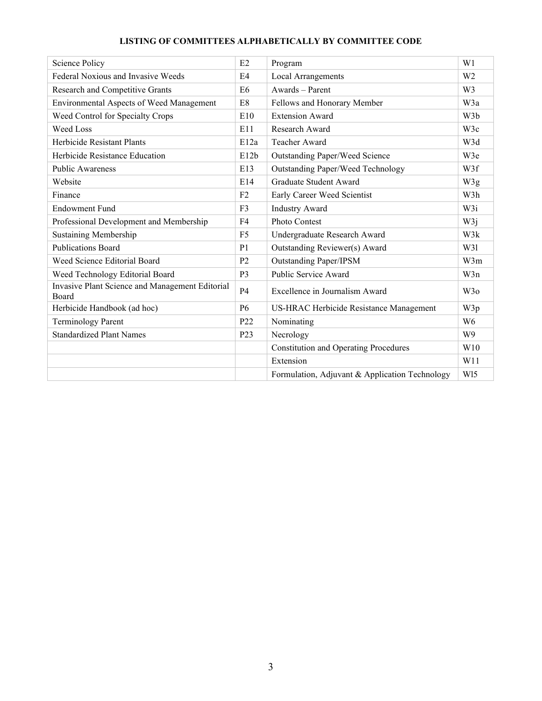# **LISTING OF COMMITTEES ALPHABETICALLY BY COMMITTEE CODE**

| Science Policy                                           | E2               | Program                                        | W1               |
|----------------------------------------------------------|------------------|------------------------------------------------|------------------|
| Federal Noxious and Invasive Weeds                       | E <sub>4</sub>   | <b>Local Arrangements</b>                      | W <sub>2</sub>   |
| Research and Competitive Grants                          | E <sub>6</sub>   | Awards - Parent                                | W <sub>3</sub>   |
| Environmental Aspects of Weed Management                 | E8               | Fellows and Honorary Member                    | W3a              |
| Weed Control for Specialty Crops                         | E10              | <b>Extension Award</b>                         | W <sub>3</sub> b |
| Weed Loss                                                | E11              | Research Award                                 | W3c              |
| Herbicide Resistant Plants                               | E12a             | Teacher Award                                  | W3d              |
| Herbicide Resistance Education                           | E12b             | <b>Outstanding Paper/Weed Science</b>          | W <sub>3</sub> e |
| <b>Public Awareness</b>                                  | E13              | Outstanding Paper/Weed Technology              | W3f              |
| Website                                                  | E14              | Graduate Student Award                         | W3g              |
| Finance                                                  | F2               | Early Career Weed Scientist                    | W3h              |
| <b>Endowment Fund</b>                                    | F <sub>3</sub>   | <b>Industry Award</b>                          | W3i              |
| Professional Development and Membership                  | F <sub>4</sub>   | Photo Contest                                  | W3j              |
| <b>Sustaining Membership</b>                             | F <sub>5</sub>   | Undergraduate Research Award                   | W3k              |
| <b>Publications Board</b>                                | P <sub>1</sub>   | Outstanding Reviewer(s) Award                  | W31              |
| Weed Science Editorial Board                             | P <sub>2</sub>   | <b>Outstanding Paper/IPSM</b>                  | W3m              |
| Weed Technology Editorial Board                          | P <sub>3</sub>   | Public Service Award                           | W3n              |
| Invasive Plant Science and Management Editorial<br>Board | <b>P4</b>        | Excellence in Journalism Award                 | W <sub>3</sub> o |
| Herbicide Handbook (ad hoc)                              | <b>P6</b>        | US-HRAC Herbicide Resistance Management        | W3p              |
| <b>Terminology Parent</b>                                | P <sub>22</sub>  | Nominating                                     | W <sub>6</sub>   |
| <b>Standardized Plant Names</b>                          | P <sub>2</sub> 3 | Necrology                                      | W <sub>9</sub>   |
|                                                          |                  | <b>Constitution and Operating Procedures</b>   | W10              |
|                                                          |                  | Extension                                      | W11              |
|                                                          |                  | Formulation, Adjuvant & Application Technology | W <sub>15</sub>  |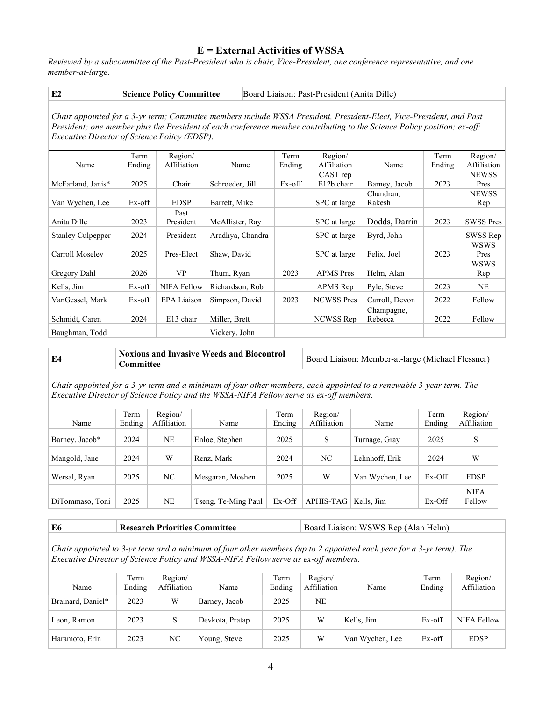# **E = External Activities of WSSA**

*Reviewed by a subcommittee of the Past-President who is chair, Vice-President, one conference representative, and one member-at-large.* 

| E2 | <b>Science Policy Committee</b> | Board Liaison: Past-President (Anita Dille) |
|----|---------------------------------|---------------------------------------------|
|----|---------------------------------|---------------------------------------------|

*Chair appointed for a 3-yr term; Committee members include WSSA President, President-Elect, Vice-President, and Past President; one member plus the President of each conference member contributing to the Science Policy position; ex-off: Executive Director of Science Policy (EDSP).*

|                          | Term   | Region/            |                  | Term   | Region/           |                | Term   | Region/          |
|--------------------------|--------|--------------------|------------------|--------|-------------------|----------------|--------|------------------|
| Name                     | Ending | Affiliation        | Name             | Ending | Affiliation       | Name           | Ending | Affiliation      |
|                          |        |                    |                  |        | CAST rep          |                |        | <b>NEWSS</b>     |
| McFarland, Janis*        | 2025   | Chair              | Schroeder, Jill  | Ex-off | E12b chair        | Barney, Jacob  | 2023   | Pres             |
|                          |        |                    |                  |        |                   | Chandran.      |        | <b>NEWSS</b>     |
| Van Wychen, Lee          | Ex-off | <b>EDSP</b>        | Barrett, Mike    |        | SPC at large      | Rakesh         |        | Rep              |
|                          |        | Past               |                  |        |                   |                |        |                  |
| Anita Dille              | 2023   | President          | McAllister, Ray  |        | SPC at large      | Dodds, Darrin  | 2023   | <b>SWSS Pres</b> |
| <b>Stanley Culpepper</b> | 2024   | President          | Aradhya, Chandra |        | SPC at large      | Byrd, John     |        | SWSS Rep         |
|                          |        |                    |                  |        |                   |                |        | <b>WSWS</b>      |
| Carroll Moseley          | 2025   | Pres-Elect         | Shaw, David      |        | SPC at large      | Felix, Joel    | 2023   | Pres             |
|                          |        |                    |                  |        |                   |                |        | <b>WSWS</b>      |
| Gregory Dahl             | 2026   | <b>VP</b>          | Thum, Ryan       | 2023   | <b>APMS</b> Pres  | Helm, Alan     |        | Rep              |
| Kells, Jim               | Ex-off | <b>NIFA Fellow</b> | Richardson, Rob  |        | APMS Rep          | Pyle, Steve    | 2023   | NE.              |
| VanGessel, Mark          | Ex-off | <b>EPA Liaison</b> | Simpson, David   | 2023   | <b>NCWSS</b> Pres | Carroll, Devon | 2022   | Fellow           |
|                          |        |                    |                  |        |                   | Champagne,     |        |                  |
| Schmidt, Caren           | 2024   | E13 chair          | Miller, Brett    |        | NCWSS Rep         | Rebecca        | 2022   | Fellow           |
| Baughman, Todd           |        |                    | Vickery, John    |        |                   |                |        |                  |

| Noxious and Invasive Weeds and Biocontrol<br>E4<br>Committee | Board Liaison: Member-at-large (Michael Flessner) |
|--------------------------------------------------------------|---------------------------------------------------|
|--------------------------------------------------------------|---------------------------------------------------|

*Chair appointed for a 3-yr term and a minimum of four other members, each appointed to a renewable 3-year term. The Executive Director of Science Policy and the WSSA-NIFA Fellow serve as ex-off members.* 

|                 | Term   | Region/     |                     | Term   | Region/          |                 | Term     | Region/               |
|-----------------|--------|-------------|---------------------|--------|------------------|-----------------|----------|-----------------------|
| Name            | Ending | Affiliation | Name                | Ending | Affiliation      | Name            | Ending   | Affiliation           |
| Barney, Jacob*  | 2024   | <b>NE</b>   | Enloe, Stephen      | 2025   | S                | Turnage, Gray   | 2025     | S                     |
| Mangold, Jane   | 2024   | W           | Renz. Mark          | 2024   | NC               | Lehnhoff, Erik  | 2024     | W                     |
| Wersal, Ryan    | 2025   | NC          | Mesgaran, Moshen    | 2025   | W                | Van Wychen, Lee | Ex-Off   | <b>EDSP</b>           |
| DiTommaso, Toni | 2025   | NE          | Tseng, Te-Ming Paul | Ex-Off | <b>APHIS-TAG</b> | Kells. Jim      | $Ex-Off$ | <b>NIFA</b><br>Fellow |

#### **E6 Research Priorities Committee Board Liaison: WSWS Rep (Alan Helm)**

*Chair appointed to 3-yr term and a minimum of four other members (up to 2 appointed each year for a 3-yr term). The Executive Director of Science Policy and WSSA-NIFA Fellow serve as ex-off members.*

| Name              | Term<br>Ending | Region/<br>Affiliation | Name            | Term<br>Ending | Region/<br>Affiliation | Name            | Term<br>Ending | Region/<br>Affiliation |
|-------------------|----------------|------------------------|-----------------|----------------|------------------------|-----------------|----------------|------------------------|
| Brainard, Daniel* | 2023           | W                      | Barney, Jacob   | 2025           | NE                     |                 |                |                        |
| Leon. Ramon       | 2023           | S                      | Devkota, Pratap | 2025           | W                      | Kells, Jim      | Ex-off         | NIFA Fellow            |
| Haramoto, Erin    | 2023           | NC                     | Young, Steve    | 2025           | W                      | Van Wychen, Lee | Ex-off         | <b>EDSP</b>            |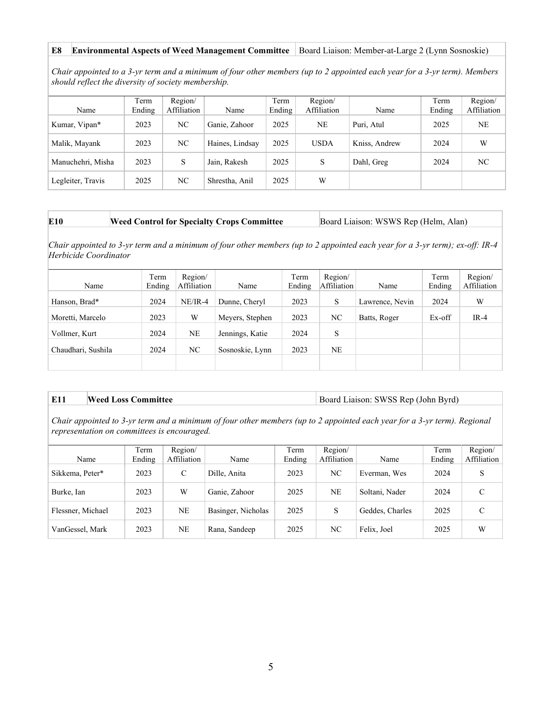#### **E8 Environmental Aspects of Weed Management Committee** Board Liaison: Member-at-Large 2 (Lynn Sosnoskie)

*Chair appointed to a 3-yr term and a minimum of four other members (up to 2 appointed each year for a 3-yr term). Members should reflect the diversity of society membership.*

|                   | Term   | Region/     |                 | Term   | Region/     |               | Term   | Region/     |
|-------------------|--------|-------------|-----------------|--------|-------------|---------------|--------|-------------|
| Name              | Ending | Affiliation | Name            | Ending | Affiliation | Name          | Ending | Affiliation |
| Kumar, Vipan*     | 2023   | NC          | Ganie, Zahoor   | 2025   | NE          | Puri, Atul    | 2025   | NE.         |
| Malik, Mayank     | 2023   | NC          | Haines, Lindsay | 2025   | <b>USDA</b> | Kniss, Andrew | 2024   | W           |
| Manuchehri, Misha | 2023   | S           | Jain, Rakesh    | 2025   | S           | Dahl, Greg    | 2024   | NC          |
| Legleiter, Travis | 2025   | NC          | Shrestha, Anil  | 2025   | W           |               |        |             |

**Weed Control for Specialty Crops Committee Board Liaison: WSWS Rep (Helm, Alan)** 

*Chair appointed to 3-yr term and a minimum of four other members (up to 2 appointed each year for a 3-yr term); ex-off: IR-4 Herbicide Coordinator*

| Name               | Term<br>Ending | Region/<br>Affiliation | Name            | Term<br>Ending | Region/<br>Affiliation | Name            | Term<br>Ending | Region/<br>Affiliation |
|--------------------|----------------|------------------------|-----------------|----------------|------------------------|-----------------|----------------|------------------------|
| Hanson, Brad*      | 2024           | $NE/IR-4$              | Dunne, Cheryl   | 2023           | S                      | Lawrence, Nevin | 2024           | W                      |
| Moretti, Marcelo   | 2023           | W                      | Meyers, Stephen | 2023           | NC                     | Batts, Roger    | Ex-off         | $IR-4$                 |
| Vollmer, Kurt      | 2024           | <b>NE</b>              | Jennings, Katie | 2024           | S                      |                 |                |                        |
| Chaudhari, Sushila | 2024           | NC                     | Sosnoskie, Lynn | 2023           | <b>NE</b>              |                 |                |                        |
|                    |                |                        |                 |                |                        |                 |                |                        |

**E11 Weed Loss Committee Board Liaison: SWSS Rep (John Byrd)** 

*Chair appointed to 3-yr term and a minimum of four other members (up to 2 appointed each year for a 3-yr term). Regional representation on committees is encouraged.*

| Name              | Term<br>Ending | Region/<br>Affiliation | Name               | Term<br>Ending | Region/<br>Affiliation | Name            | Term<br>Ending | Region/<br>Affiliation |
|-------------------|----------------|------------------------|--------------------|----------------|------------------------|-----------------|----------------|------------------------|
| Sikkema, Peter*   | 2023           | $\mathcal{C}$          | Dille, Anita       | 2023           | NC                     | Everman, Wes    | 2024           | S                      |
| Burke, Ian        | 2023           | W                      | Ganie, Zahoor      | 2025           | <b>NE</b>              | Soltani, Nader  | 2024           | C                      |
| Flessner, Michael | 2023           | NE                     | Basinger, Nicholas | 2025           | S                      | Geddes, Charles | 2025           | $\mathcal{C}$          |
| VanGessel, Mark   | 2023           | NE                     | Rana, Sandeep      | 2025           | NC                     | Felix, Joel     | 2025           | W                      |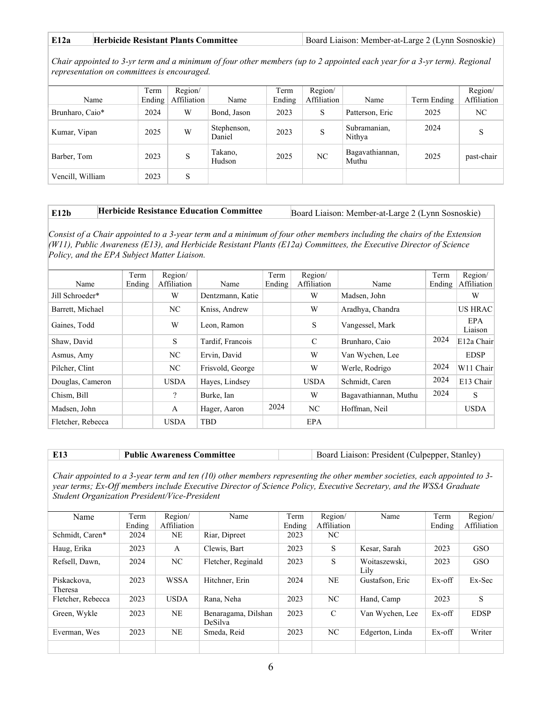| E12a | <b>Herbicide Resistant Plants Committee</b> | Board Liaison: Member-at-Large 2 (Lynn Sosnoskie) |
|------|---------------------------------------------|---------------------------------------------------|
|------|---------------------------------------------|---------------------------------------------------|

*Chair appointed to 3-yr term and a minimum of four other members (up to 2 appointed each year for a 3-yr term). Regional representation on committees is encouraged.*

| Name             | Term<br>Ending | Region/<br>Affiliation | Name                  | Term<br>Ending | Region/<br>Affiliation | Name                     | Term Ending | Region/<br>Affiliation |
|------------------|----------------|------------------------|-----------------------|----------------|------------------------|--------------------------|-------------|------------------------|
| Brunharo, Caio*  | 2024           | W                      | Bond, Jason           | 2023           | S                      | Patterson, Eric          | 2025        | NC                     |
| Kumar, Vipan     | 2025           | W                      | Stephenson,<br>Daniel | 2023           | S                      | Subramanian,<br>Nithya   | 2024        | S                      |
| Barber, Tom      | 2023           | S                      | Takano,<br>Hudson     | 2025           | NC                     | Bagavathiannan,<br>Muthu | 2025        | past-chair             |
| Vencill, William | 2023           | S                      |                       |                |                        |                          |             |                        |

# **E12b Herbicide Resistance Education Committee** Board Liaison: Member-at-Large 2 (Lynn Sosnoskie)

*Consist of a Chair appointed to a 3-year term and a minimum of four other members including the chairs of the Extension (W11), Public Awareness (E13), and Herbicide Resistant Plants (E12a) Committees, the Executive Director of Science Policy, and the EPA Subject Matter Liaison.*

|                   | Term   | Region/      |                  | Term   | Region/       |                       | Term   | Region/               |
|-------------------|--------|--------------|------------------|--------|---------------|-----------------------|--------|-----------------------|
| Name              | Ending | Affiliation  | Name             | Ending | Affiliation   | Name                  | Ending | Affiliation           |
| Jill Schroeder*   |        | W            | Dentzmann, Katie |        | W             | Madsen, John          |        | W                     |
| Barrett, Michael  |        | NC.          | Kniss, Andrew    |        | W             | Aradhya, Chandra      |        | <b>US HRAC</b>        |
| Gaines, Todd      |        | W            | Leon, Ramon      |        | S             | Vangessel, Mark       |        | <b>EPA</b><br>Liaison |
| Shaw, David       |        | S.           | Tardif, Francois |        | $\mathcal{C}$ | Brunharo, Caio        | 2024   | E12a Chair            |
| Asmus, Amy        |        | NC.          | Ervin, David     |        | W             | Van Wychen, Lee       |        | <b>EDSP</b>           |
| Pilcher, Clint    |        | NC           | Frisvold, George |        | W             | Werle, Rodrigo        | 2024   | W11 Chair             |
| Douglas, Cameron  |        | <b>USDA</b>  | Hayes, Lindsey   |        | <b>USDA</b>   | Schmidt, Caren        | 2024   | E13 Chair             |
| Chism, Bill       |        | ?            | Burke, Ian       |        | W             | Bagavathiannan, Muthu | 2024   | S                     |
| Madsen, John      |        | $\mathbf{A}$ | Hager, Aaron     | 2024   | NC            | Hoffman, Neil         |        | <b>USDA</b>           |
| Fletcher, Rebecca |        | <b>USDA</b>  | TBD              |        | EPA           |                       |        |                       |

|  | ' Public Awareness Committee |  | Board Liaison: President (Culpepper, Stanley) |
|--|------------------------------|--|-----------------------------------------------|
|--|------------------------------|--|-----------------------------------------------|

*Chair appointed to a 3-year term and ten (10) other members representing the other member societies, each appointed to 3 year terms; Ex-Off members include Executive Director of Science Policy, Executive Secretary, and the WSSA Graduate Student Organization President/Vice-President*

| Name                   | Term<br>Ending | Region/<br>Affiliation | Name                           | Term<br>Ending | Region/<br>Affiliation | Name                  | Term<br>Ending | Region/<br>Affiliation |
|------------------------|----------------|------------------------|--------------------------------|----------------|------------------------|-----------------------|----------------|------------------------|
| Schmidt, Caren*        | 2024           | NE                     | Riar, Dipreet                  | 2023           | NC                     |                       |                |                        |
| Haug, Erika            | 2023           | A                      | Clewis, Bart                   | 2023           | S                      | Kesar, Sarah          | 2023           | <b>GSO</b>             |
| Refsell, Dawn,         | 2024           | NC                     | Fletcher, Reginald             | 2023           | S                      | Woitaszewski.<br>Lily | 2023           | GSO                    |
| Piskackova.<br>Theresa | 2023           | <b>WSSA</b>            | Hitchner, Erin                 | 2024           | NE                     | Gustafson, Eric       | Ex-off         | Ex-Sec                 |
| Fletcher, Rebecca      | 2023           | <b>USDA</b>            | Rana, Neha                     | 2023           | NC.                    | Hand, Camp            | 2023           | S                      |
| Green, Wykle           | 2023           | NE                     | Benaragama, Dilshan<br>DeSilva | 2023           | $\mathcal{C}$          | Van Wychen, Lee       | Ex-off         | <b>EDSP</b>            |
| Everman, Wes           | 2023           | <b>NE</b>              | Smeda, Reid                    | 2023           | NC.                    | Edgerton, Linda       | Ex-off         | Writer                 |
|                        |                |                        |                                |                |                        |                       |                |                        |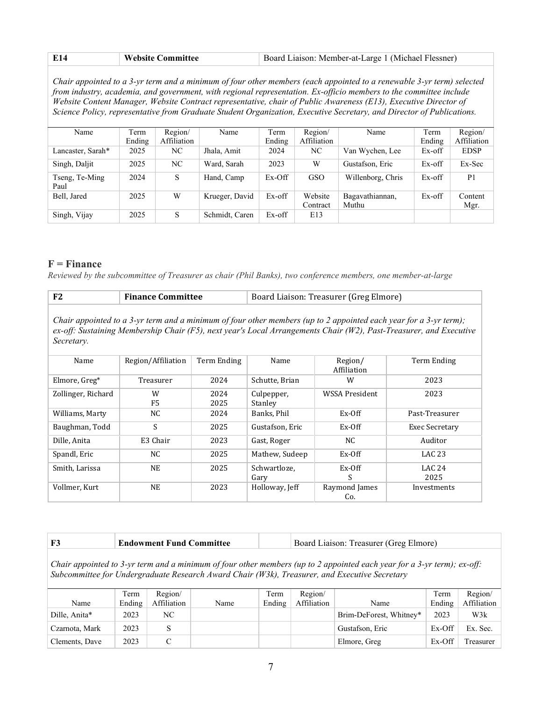| E14 | $^{\circ}$ Website Committee | Board Liaison: Member-at-Large 1 (Michael Flessner) |
|-----|------------------------------|-----------------------------------------------------|
|     |                              |                                                     |

*Chair appointed to a 3-yr term and a minimum of four other members (each appointed to a renewable 3-yr term) selected from industry, academia, and government, with regional representation. Ex-officio members to the committee include Website Content Manager, Website Contract representative, chair of Public Awareness (E13), Executive Director of Science Policy, representative from Graduate Student Organization, Executive Secretary, and Director of Publications.* 

| Name                   | Term   | Region/     | Name           | Term     | Region/     | Name              | Term   | Region/        |
|------------------------|--------|-------------|----------------|----------|-------------|-------------------|--------|----------------|
|                        | Ending | Affiliation |                | Ending   | Affiliation |                   | Ending | Affiliation    |
| Lancaster, Sarah*      | 2025   | NC          | Jhala, Amit    | 2024     | NC          | Van Wychen, Lee   | Ex-off | <b>EDSP</b>    |
| Singh, Daljit          | 2025   | NC          | Ward, Sarah    | 2023     | W           | Gustafson, Eric   | Ex-off | Ex-Sec         |
| Tseng, Te-Ming<br>Paul | 2024   | S           | Hand, Camp     | $Ex-Off$ | <b>GSO</b>  | Willenborg, Chris | Ex-off | P <sub>1</sub> |
| Bell. Jared            | 2025   | W           | Krueger, David | Ex-off   | Website     | Bagavathiannan,   | Ex-off | Content        |
|                        |        |             |                |          | Contract    | Muthu             |        | Mgr.           |
| Singh, Vijay           | 2025   | S           | Schmidt, Caren | Ex-off   | E13         |                   |        |                |

### **F = Finance**

*Reviewed by the subcommittee of Treasurer as chair (Phil Banks), two conference members, one member-at-large*

| F2                                                                                                                                                                                                                                                    | <b>Finance Committee</b> |              | Board Liaison: Treasurer (Greg Elmore) |                        |                       |  |  |  |  |
|-------------------------------------------------------------------------------------------------------------------------------------------------------------------------------------------------------------------------------------------------------|--------------------------|--------------|----------------------------------------|------------------------|-----------------------|--|--|--|--|
| Chair appointed to a 3-yr term and a minimum of four other members (up to 2 appointed each year for a 3-yr term);<br>ex-off: Sustaining Membership Chair (F5), next year's Local Arrangements Chair (W2), Past-Treasurer, and Executive<br>Secretary. |                          |              |                                        |                        |                       |  |  |  |  |
| Name                                                                                                                                                                                                                                                  | Region/Affiliation       | Term Ending  | Name                                   | Region/<br>Affiliation | Term Ending           |  |  |  |  |
| Elmore, Greg*                                                                                                                                                                                                                                         | Treasurer                | 2024         | Schutte, Brian                         | W                      | 2023                  |  |  |  |  |
| Zollinger, Richard                                                                                                                                                                                                                                    | W<br>F <sub>5</sub>      | 2024<br>2025 | Culpepper,<br>Stanley                  | WSSA President         | 2023                  |  |  |  |  |
| Williams, Marty                                                                                                                                                                                                                                       | NC.                      | 2024         | Banks, Phil                            | Ex-Off                 | Past-Treasurer        |  |  |  |  |
| Baughman, Todd                                                                                                                                                                                                                                        | S                        | 2025         | Gustafson, Eric                        | $Ex-Off$               | Exec Secretary        |  |  |  |  |
| Dille, Anita                                                                                                                                                                                                                                          | E3 Chair                 | 2023         | Gast, Roger                            | NC.                    | Auditor               |  |  |  |  |
| Spandl, Eric                                                                                                                                                                                                                                          | NC.                      | 2025         | Mathew, Sudeep                         | Ex-Off                 | LAC <sub>23</sub>     |  |  |  |  |
| Smith, Larissa                                                                                                                                                                                                                                        | <b>NE</b>                | 2025         | Schwartloze,<br>Gary                   | $Ex-Off$<br>S          | <b>LAC 24</b><br>2025 |  |  |  |  |
| Vollmer, Kurt                                                                                                                                                                                                                                         | <b>NE</b>                | 2023         | Holloway, Jeff                         | Raymond James<br>Co.   | Investments           |  |  |  |  |

| $\sim$ | <b>Endowment Fund Committee</b> | Board Liaison: Treasurer (Greg Elmore) |  |
|--------|---------------------------------|----------------------------------------|--|
|--------|---------------------------------|----------------------------------------|--|

*Chair appointed to 3-yr term and a minimum of four other members (up to 2 appointed each year for a 3-yr term); ex-off: Subcommittee for Undergraduate Research Award Chair (W3k), Treasurer, and Executive Secretary*

| Name           | Term<br>Ending | Region/<br>Affiliation | Name | Term<br>Ending | Region/<br>Affiliation | Name                    | Term<br>Ending | Region/<br>Affiliation |
|----------------|----------------|------------------------|------|----------------|------------------------|-------------------------|----------------|------------------------|
| Dille, Anita*  | 2023           | NC                     |      |                |                        | Brim-DeForest, Whitney* | 2023           | W3k                    |
| Czarnota, Mark | 2023           |                        |      |                |                        | Gustafson, Eric         | Ex-Off         | Ex. Sec.               |
| Clements, Dave | 2023           |                        |      |                |                        | Elmore, Greg            | Ex-Off         | Treasurer              |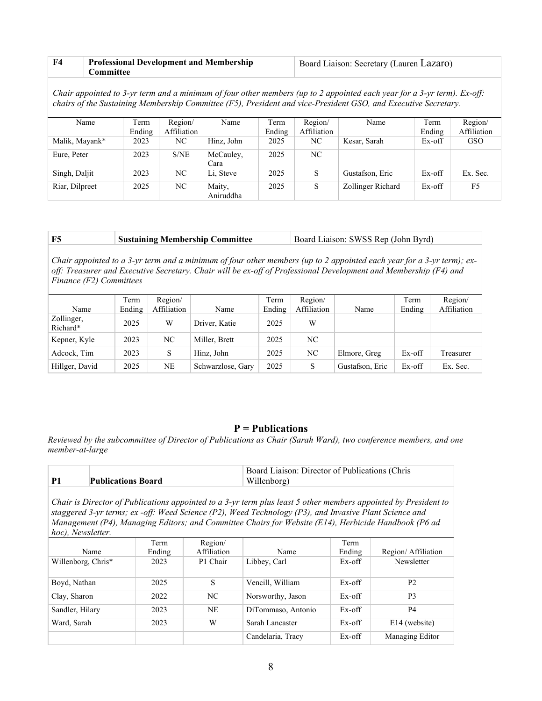| F4 | <b>Professional Development and Membership</b> | Board Liaison: Secretary (Lauren Lazaro) |
|----|------------------------------------------------|------------------------------------------|
|    | Committee                                      |                                          |

*Chair appointed to 3-yr term and a minimum of four other members (up to 2 appointed each year for a 3-yr term). Ex-off: chairs of the Sustaining Membership Committee (F5), President and vice-President GSO, and Executive Secretary.*

| Name           | Term   | Region/     | Name       | Term   | Region/     | Name              | Term   | Region/     |
|----------------|--------|-------------|------------|--------|-------------|-------------------|--------|-------------|
|                | Ending | Affiliation |            | Ending | Affiliation |                   | Ending | Affiliation |
| Malik, Mayank* | 2023   | NC          | Hinz. John | 2025   | NC          | Kesar, Sarah      | Ex-off | <b>GSO</b>  |
| Eure, Peter    | 2023   | S/NE        | McCauley,  | 2025   | NC.         |                   |        |             |
|                |        |             | Cara       |        |             |                   |        |             |
| Singh, Daljit  | 2023   | NC          | Li. Steve  | 2025   | S           | Gustafson, Eric   | Ex-off | Ex. Sec.    |
| Riar, Dilpreet | 2025   | NC          | Maity,     | 2025   | S           | Zollinger Richard | Ex-off | F5          |
|                |        |             | Aniruddha  |        |             |                   |        |             |

| F5 | <b>Sustaining Membership Committee</b> | Board Liaison: SWSS Rep (John Byrd) |
|----|----------------------------------------|-------------------------------------|
|----|----------------------------------------|-------------------------------------|

*Chair appointed to a 3-yr term and a minimum of four other members (up to 2 appointed each year for a 3-yr term); exoff: Treasurer and Executive Secretary. Chair will be ex-off of Professional Development and Membership (F4) and Finance (F2) Committees*

| Name                   | Term<br>Ending | Region/<br>Affiliation | Name              | Term<br>Ending | Region/<br>Affiliation | Name            | Term<br>Ending | Region/<br>Affiliation |
|------------------------|----------------|------------------------|-------------------|----------------|------------------------|-----------------|----------------|------------------------|
| Zollinger,<br>Richard* | 2025           | W                      | Driver, Katie     | 2025           | W                      |                 |                |                        |
| Kepner, Kyle           | 2023           | NC                     | Miller, Brett     | 2025           | NC.                    |                 |                |                        |
| Adcock, Tim            | 2023           | S                      | Hinz, John        | 2025           | NC.                    | Elmore, Greg    | Ex-off         | Treasurer              |
| Hillger, David         | 2025           | <b>NE</b>              | Schwarzlose, Gary | 2025           | S                      | Gustafson, Eric | Ex-off         | Ex. Sec.               |

## **P = Publications**

*Reviewed by the subcommittee of Director of Publications as Chair (Sarah Ward), two conference members, and one member-at-large*

|                           | Board Liaison: Director of Publications (Chris |
|---------------------------|------------------------------------------------|
| <b>Publications Board</b> | Willenborg)                                    |

*Chair is Director of Publications appointed to a 3-yr term plus least 5 other members appointed by President to staggered 3-yr terms; ex -off: Weed Science (P2), Weed Technology (P3), and Invasive Plant Science and Management (P4), Managing Editors; and Committee Chairs for Website (E14), Herbicide Handbook (P6 ad hoc), Newsletter.*

|                    | Term   | Region/     |                    | Term      |                    |
|--------------------|--------|-------------|--------------------|-----------|--------------------|
| Name               | Ending | Affiliation | Name               | Ending    | Region/Affiliation |
| Willenborg, Chris* | 2023   | P1 Chair    | Libbey, Carl       | $Ex-off$  | Newsletter         |
| Boyd, Nathan       | 2025   | S           | Vencill, William   | Ex-off    | P <sub>2</sub>     |
| Clay, Sharon       | 2022   | NC          | Norsworthy, Jason  | $Ex$ -off | P <sub>3</sub>     |
| Sandler, Hilary    | 2023   | <b>NE</b>   | DiTommaso, Antonio | $Ex$ -off | P <sub>4</sub>     |
| Ward, Sarah        | 2023   | W           | Sarah Lancaster    | $Ex-off$  | E14 (website)      |
|                    |        |             | Candelaria, Tracy  | Ex-off    | Managing Editor    |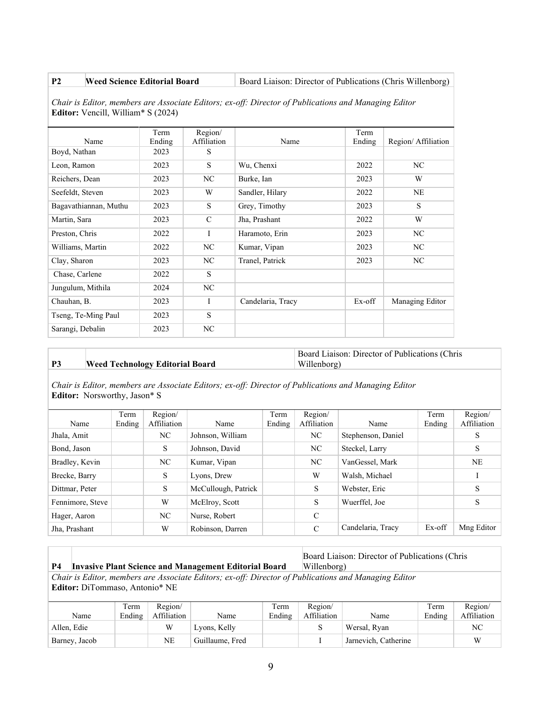**P2 Weed Science Editorial Board** Board Board Board Board Liaison: Director of Publications (Chris Willenborg)

*Chair is Editor, members are Associate Editors; ex-off: Director of Publications and Managing Editor* **Editor:** Vencill, William\* S (2024)

|                       | Term   | Region/       |                   | Term   |                    |
|-----------------------|--------|---------------|-------------------|--------|--------------------|
| Name                  | Ending | Affiliation   | Name              | Ending | Region/Affiliation |
| Boyd, Nathan          | 2023   | S             |                   |        |                    |
| Leon, Ramon           | 2023   | S             | Wu, Chenxi        | 2022   | NC                 |
| Reichers, Dean        | 2023   | NC            | Burke, Ian        | 2023   | W                  |
| Seefeldt, Steven      | 2023   | W             | Sandler, Hilary   | 2022   | NE                 |
| Bagavathiannan, Muthu | 2023   | S             | Grey, Timothy     | 2023   | S                  |
| Martin, Sara          | 2023   | $\mathcal{C}$ | Jha, Prashant     | 2022   | W                  |
| Preston, Chris        | 2022   | I             | Haramoto, Erin    | 2023   | NC                 |
| Williams, Martin      | 2022   | NC            | Kumar, Vipan      | 2023   | NC                 |
| Clay, Sharon          | 2023   | NC            | Tranel, Patrick   | 2023   | NC                 |
| Chase, Carlene        | 2022   | S             |                   |        |                    |
| Jungulum, Mithila     | 2024   | NC            |                   |        |                    |
| Chauhan, B.           | 2023   | I             | Candelaria, Tracy | Ex-off | Managing Editor    |
| Tseng, Te-Ming Paul   | 2023   | S             |                   |        |                    |
| Sarangi, Debalin      | 2023   | NC            |                   |        |                    |

# **P3 Weed Technology Editorial Board**

Board Liaison: Director of Publications (Chris Willenborg)

*Chair is Editor, members are Associate Editors; ex-off: Director of Publications and Managing Editor* **Editor:** Norsworthy, Jason\* S

| Name             | Term<br>Ending | Region/<br>Affiliation | Name                | Term<br>Ending | Region/<br>Affiliation | Name               | Term<br>Ending | Region/<br>Affiliation |
|------------------|----------------|------------------------|---------------------|----------------|------------------------|--------------------|----------------|------------------------|
| Jhala, Amit      |                | NC                     | Johnson, William    |                | NC.                    | Stephenson, Daniel |                | S                      |
| Bond, Jason      |                | S                      | Johnson, David      |                | NC.                    | Steckel, Larry     |                | S                      |
| Bradley, Kevin   |                | NC.                    | Kumar, Vipan        |                | NC.                    | VanGessel, Mark    |                | <b>NE</b>              |
| Brecke, Barry    |                | S                      | Lyons, Drew         |                | W                      | Walsh, Michael     |                |                        |
| Dittmar, Peter   |                | S                      | McCullough, Patrick |                | S                      | Webster, Eric      |                | S                      |
| Fennimore, Steve |                | W                      | McElroy, Scott      |                | S                      | Wuerffel, Joe      |                | S                      |
| Hager, Aaron     |                | NC.                    | Nurse, Robert       |                | $\mathcal{C}$          |                    |                |                        |
| Jha, Prashant    |                | W                      | Robinson, Darren    |                | $\mathcal{C}$          | Candelaria, Tracy  | Ex-off         | Mng Editor             |

Board Liaison: Director of Publications (Chris Willenborg)

## *Chair is Editor, members are Associate Editors; ex-off: Director of Publications and Managing Editor* **Editor:** DiTommaso, Antonio\* NE

**P4 Invasive Plant Science and Management Editorial Board**

| Name          | Term<br>Ending | Region/<br>Affiliation | Name            | Term<br>Ending | Region/<br>Affiliation | Name                 | Term<br>Ending | Region/<br>Affiliation |
|---------------|----------------|------------------------|-----------------|----------------|------------------------|----------------------|----------------|------------------------|
| Allen, Edie   |                |                        | Lyons, Kelly    |                |                        | Wersal, Ryan         |                | NC                     |
| Barney, Jacob |                | NE                     | Guillaume, Fred |                |                        | Jarnevich, Catherine |                | W                      |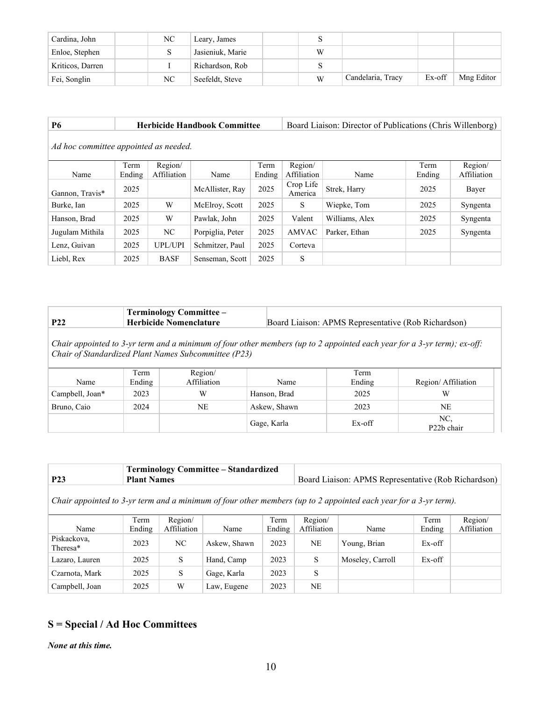| Cardina, John    | NC | Leary, James     |   |                   |        |            |
|------------------|----|------------------|---|-------------------|--------|------------|
| Enloe, Stephen   |    | Jasieniuk, Marie | W |                   |        |            |
| Kriticos, Darren |    | Richardson, Rob  |   |                   |        |            |
| Fei, Songlin     | NC | Seefeldt, Steve  | W | Candelaria, Tracy | Ex-off | Mng Editor |

# **P6 Herbicide Handbook Committee** Board Liaison: Director of Publications (Chris Willenborg)

*Ad hoc committee appointed as needed.*

|                 | Term   | Region/        |                  | Term   | Region/              |                | Term   | Region/     |
|-----------------|--------|----------------|------------------|--------|----------------------|----------------|--------|-------------|
| Name            | Ending | Affiliation    | Name             | Ending | Affiliation          | Name           | Ending | Affiliation |
| Gannon, Travis* | 2025   |                | McAllister, Ray  | 2025   | Crop Life<br>America | Strek, Harry   | 2025   | Bayer       |
| Burke, Ian      | 2025   | W              | McElroy, Scott   | 2025   | S                    | Wiepke, Tom    | 2025   | Syngenta    |
| Hanson, Brad    | 2025   | W              | Pawlak, John     | 2025   | Valent               | Williams, Alex | 2025   | Syngenta    |
| Jugulam Mithila | 2025   | NC             | Porpiglia, Peter | 2025   | AMVAC                | Parker, Ethan  | 2025   | Syngenta    |
| Lenz, Guivan    | 2025   | <b>UPL/UPI</b> | Schmitzer, Paul  | 2025   | Corteva              |                |        |             |
| Liebl, Rex      | 2025   | <b>BASF</b>    | Senseman, Scott  | 2025   | S                    |                |        |             |

|     | <b>Terminology Committee -</b> |                                                     |
|-----|--------------------------------|-----------------------------------------------------|
| P22 | <b>Herbicide Nomenclature</b>  | Board Liaison: APMS Representative (Rob Richardson) |

*Chair appointed to 3-yr term and a minimum of four other members (up to 2 appointed each year for a 3-yr term); ex-off: Chair of Standardized Plant Names Subcommittee (P23)*

| Name            | Term<br>Ending | Region/<br>Affiliation | Name         | Term<br>Ending | Region/Affiliation             |
|-----------------|----------------|------------------------|--------------|----------------|--------------------------------|
| Campbell, Joan* | 2023           | W                      | Hanson, Brad | 2025           | W                              |
| Bruno, Caio     | 2024           | NE                     | Askew, Shawn | 2023           | NE                             |
|                 |                |                        | Gage, Karla  | Ex-off         | NC,<br>P <sub>22</sub> b chair |

|     | <b>Terminology Committee - Standardized</b> |                                                     |
|-----|---------------------------------------------|-----------------------------------------------------|
| P23 | <b>Plant Names</b>                          | Board Liaison: APMS Representative (Rob Richardson) |

*Chair appointed to 3-yr term and a minimum of four other members (up to 2 appointed each year for a 3-yr term).*

| Name                                | Term<br>Ending | Region/<br>Affiliation | Name         | Term<br>Ending | Region/<br>Affiliation | Name             | Term<br>Ending | Region/<br>Affiliation |
|-------------------------------------|----------------|------------------------|--------------|----------------|------------------------|------------------|----------------|------------------------|
| Piskackova,<br>Theresa <sup>*</sup> | 2023           | NC                     | Askew, Shawn | 2023           | NE                     | Young, Brian     | Ex-off         |                        |
| Lazaro, Lauren                      | 2025           | S.                     | Hand, Camp   | 2023           | S                      | Moseley, Carroll | Ex-off         |                        |
| Czarnota, Mark                      | 2025           | S                      | Gage, Karla  | 2023           | S                      |                  |                |                        |
| Campbell, Joan                      | 2025           | W                      | Law, Eugene  | 2023           | NE                     |                  |                |                        |

# **S = Special / Ad Hoc Committees**

*None at this time.*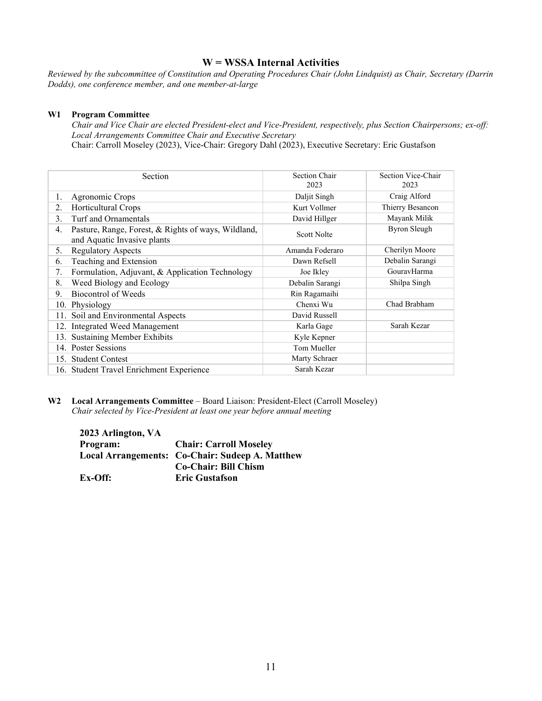# **W = WSSA Internal Activities**

*Reviewed by the subcommittee of Constitution and Operating Procedures Chair (John Lindquist) as Chair, Secretary (Darrin Dodds), one conference member, and one member-at-large*

#### **W1 Program Committee**

*Chair and Vice Chair are elected President-elect and Vice-President, respectively, plus Section Chairpersons; ex-off: Local Arrangements Committee Chair and Executive Secretary* Chair: Carroll Moseley (2023), Vice-Chair: Gregory Dahl (2023), Executive Secretary: Eric Gustafson

| Section                                                                                  | Section Chair<br>2023 | Section Vice-Chair<br>2023 |
|------------------------------------------------------------------------------------------|-----------------------|----------------------------|
| Agronomic Crops<br>1.                                                                    | Daljit Singh          | Craig Alford               |
| Horticultural Crops<br>2.                                                                | Kurt Vollmer          | Thierry Besancon           |
| Turf and Ornamentals<br>3.                                                               | David Hillger         | Mayank Milik               |
| Pasture, Range, Forest, & Rights of ways, Wildland,<br>4.<br>and Aquatic Invasive plants | Scott Nolte           | <b>Byron Sleugh</b>        |
| <b>Regulatory Aspects</b><br>5.                                                          | Amanda Foderaro       | Cherilyn Moore             |
| Teaching and Extension<br>6.                                                             | Dawn Refsell          | Debalin Sarangi            |
| Formulation, Adjuvant, & Application Technology<br>7.                                    | Joe Ikley             | GouravHarma                |
| Weed Biology and Ecology<br>8.                                                           | Debalin Sarangi       | Shilpa Singh               |
| Biocontrol of Weeds<br>9.                                                                | Rin Ragamaihi         |                            |
| 10. Physiology                                                                           | Chenxi Wu             | Chad Brabham               |
| Soil and Environmental Aspects<br>11.                                                    | David Russell         |                            |
| <b>Integrated Weed Management</b><br>12.                                                 | Karla Gage            | Sarah Kezar                |
| <b>Sustaining Member Exhibits</b><br>13.                                                 | Kyle Kepner           |                            |
| 14. Poster Sessions                                                                      | Tom Mueller           |                            |
| 15. Student Contest                                                                      | Marty Schraer         |                            |
| 16. Student Travel Enrichment Experience                                                 | Sarah Kezar           |                            |

**W2 Local Arrangements Committee** – Board Liaison: President-Elect (Carroll Moseley) *Chair selected by Vice-President at least one year before annual meeting*

**2023 Arlington, VA Program: Chair: Carroll Moseley Local Arrangements: Co-Chair: Sudeep A. Matthew Co-Chair: Bill Chism Ex-Off: Eric Gustafson**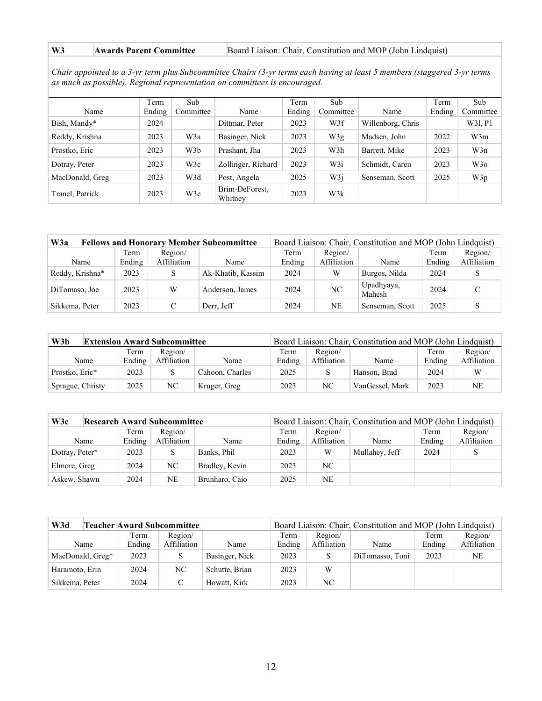## W3 **Awards Parent Committee** Board Liaison: Chair, Constitution and MOP (John Lindquist)

*Chair appointed to a 3-yr term plus Subcommittee Chairs (3-yr terms each having at least 5 members (staggered 3-yr terms as much as possible). Regional representation on committees is encouraged.*

|                 | Term   | Sub       |                           | Term   | Sub       |                   | Term   | Sub       |
|-----------------|--------|-----------|---------------------------|--------|-----------|-------------------|--------|-----------|
| Name            | Ending | Committee | Name                      | Ending | Committee | Name              | Ending | Committee |
| Bish, Mandy*    | 2024   |           | Dittmar, Peter            | 2023   | W3f       | Willenborg, Chris |        | W31, P1   |
| Reddy, Krishna  | 2023   | W3a       | Basinger, Nick            | 2023   | W3g       | Madsen, John      | 2022   | W3m       |
| Prostko, Eric   | 2023   | W3b       | Prashant, Jha             | 2023   | W3h       | Barrett, Mike     | 2023   | W3n       |
| Dotray, Peter   | 2023   | W3c       | Zollinger, Richard        | 2023   | W3i       | Schmidt, Caren    | 2023   | W3o       |
| MacDonald, Greg | 2023   | W3d       | Post, Angela              | 2025   | W3i       | Senseman, Scott   | 2025   | W3p       |
| Tranel, Patrick | 2023   | W3e       | Brim-DeForest,<br>Whitney | 2023   | W3k       |                   |        |           |

| W3a             | <b>Fellows and Honorary Member Subcommittee</b> |        |             |                   | Board Liaison: Chair, Constitution and MOP (John Lindquist) |             |                      |        |             |  |
|-----------------|-------------------------------------------------|--------|-------------|-------------------|-------------------------------------------------------------|-------------|----------------------|--------|-------------|--|
|                 |                                                 | Term   | Region/     |                   | Term                                                        | Region/     |                      | Term   | Region/     |  |
| Name            |                                                 | Ending | Affiliation | Name              | Ending                                                      | Affiliation | Name                 | Ending | Affiliation |  |
| Reddy, Krishna* |                                                 | 2023   | S           | Ak-Khatib, Kassim | 2024                                                        | W           | Burgos, Nilda        | 2024   |             |  |
| DiTomaso, Joe   |                                                 | 2023   | W           | Anderson, James   | 2024                                                        | NC          | Upadhyaya,<br>Mahesh | 2024   |             |  |
| Sikkema, Peter  |                                                 | 2023   |             | Derr, Jeff        | 2024                                                        | NE          | Senseman, Scott      | 2025   |             |  |

| W3b<br><b>Extension Award Subcommittee</b> |                |                        | Board Liaison: Chair, Constitution and MOP (John Lindquist) |                |                        |                 |                |                        |
|--------------------------------------------|----------------|------------------------|-------------------------------------------------------------|----------------|------------------------|-----------------|----------------|------------------------|
| Name                                       | Term<br>Ending | Region/<br>Affiliation | Name                                                        | Term<br>Ending | Region/<br>Affiliation | Name            | Term<br>Ending | Region/<br>Affiliation |
| Prostko, Eric*                             | 2023           |                        | Cahoon, Charles                                             | 2025           |                        | Hanson, Brad    | 2024           |                        |
| Sprague, Christy                           | 2025           | NC                     | Kruger, Greg                                                | 2023           | NC                     | VanGessel, Mark | 2023           | <b>NE</b>              |

| W3c<br><b>Research Award Subcommittee</b> |                |                        |                | Board Liaison: Chair, Constitution and MOP (John Lindquist) |                        |                |                |                        |  |
|-------------------------------------------|----------------|------------------------|----------------|-------------------------------------------------------------|------------------------|----------------|----------------|------------------------|--|
| Name                                      | Term<br>Ending | Region/<br>Affiliation | Name           | Term<br>Ending                                              | Region/<br>Affiliation | Name           | Term<br>Ending | Region/<br>Affiliation |  |
| Dotray, Peter*                            | 2023           | S                      | Banks, Phil    | 2023                                                        | W                      | Mullahey, Jeff | 2024           |                        |  |
| Elmore, Greg                              | 2024           | NC                     | Bradley, Kevin | 2023                                                        | NC                     |                |                |                        |  |
| Askew, Shawn                              | 2024           | NE                     | Brunharo, Caio | 2025                                                        | NE                     |                |                |                        |  |

| W3d<br>Teacher Award Subcommittee |        |             |                | Board Liaison: Chair, Constitution and MOP (John Lindquist) |             |                 |        |             |
|-----------------------------------|--------|-------------|----------------|-------------------------------------------------------------|-------------|-----------------|--------|-------------|
|                                   | Term   | Region/     |                | Term                                                        | Region/     |                 | Term   | Region/     |
| Name                              | Ending | Affiliation | Name           | Ending                                                      | Affiliation | Name            | Ending | Affiliation |
| MacDonald, Greg*                  | 2023   |             | Basinger, Nick | 2023                                                        | S           | DiTomasso, Toni | 2023   | <b>NE</b>   |
| Haramoto, Erin                    | 2024   | NC          | Schutte, Brian | 2023                                                        | W           |                 |        |             |
| Sikkema, Peter                    | 2024   |             | Howatt, Kirk   | 2023                                                        | NC          |                 |        |             |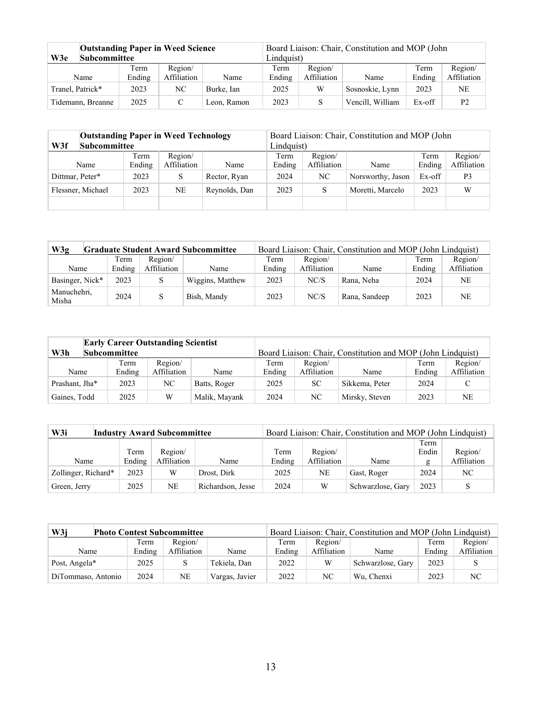| <b>Outstanding Paper in Weed Science</b><br>Subcommittee<br>W3e |                |                        |             | Board Liaison: Chair, Constitution and MOP (John<br>Lindauist) |                        |                  |                |                        |  |
|-----------------------------------------------------------------|----------------|------------------------|-------------|----------------------------------------------------------------|------------------------|------------------|----------------|------------------------|--|
| Name                                                            | Term<br>Ending | Region/<br>Affiliation | Name        | Term<br>Ending                                                 | Region/<br>Affiliation | Name             | Term<br>Ending | Region/<br>Affiliation |  |
| Tranel, Patrick*                                                | 2023           | NC                     | Burke, Ian  | 2025                                                           | W                      | Sosnoskie, Lynn  | 2023           | <b>NE</b>              |  |
| Tidemann, Breanne                                               | 2025           |                        | Leon. Ramon | 2023                                                           | S                      | Vencill, William | Ex-off         | P <sub>2</sub>         |  |

| <b>Outstanding Paper in Weed Technology</b><br><b>Subcommittee</b><br>W3f |                |                        | Board Liaison: Chair, Constitution and MOP (John<br>Lindquist) |                |                        |                   |                |                        |
|---------------------------------------------------------------------------|----------------|------------------------|----------------------------------------------------------------|----------------|------------------------|-------------------|----------------|------------------------|
| Name                                                                      | Term<br>Ending | Region/<br>Affiliation | Name                                                           | Term<br>Ending | Region/<br>Affiliation | Name              | Term<br>Ending | Region/<br>Affiliation |
| Dittmar, Peter*                                                           | 2023           | S                      | Rector, Ryan                                                   | 2024           | NC.                    | Norsworthy, Jason | Ex-off         | P <sub>3</sub>         |
| Flessner, Michael                                                         | 2023           | NE                     | Reynolds, Dan                                                  | 2023           | S                      | Moretti, Marcelo  | 2023           | W                      |
|                                                                           |                |                        |                                                                |                |                        |                   |                |                        |

| W3g                  |        |             | <b>Graduate Student Award Subcommittee</b> |        |             | Board Liaison: Chair, Constitution and MOP (John Lindquist) |        |                |
|----------------------|--------|-------------|--------------------------------------------|--------|-------------|-------------------------------------------------------------|--------|----------------|
|                      | Term   | Region/     |                                            | Term   | Region/     |                                                             | Term   | Region/        |
| Name                 | Ending | Affiliation | Name                                       | Ending | Affiliation | Name                                                        | Ending | Affiliation    |
| Basinger, Nick*      | 2023   |             | Wiggins, Matthew                           | 2023   | NC/S        | Rana, Neha                                                  | 2024   | <b>NE</b>      |
| Manuchehri,<br>Misha | 2024   |             | Bish, Mandy                                | 2023   | NC/S        | Rana, Sandeep                                               | 2023   | N <sub>E</sub> |

|                            | <b>Early Career Outstanding Scientist</b> |             |               |        |                                                             |                |        |             |
|----------------------------|-------------------------------------------|-------------|---------------|--------|-------------------------------------------------------------|----------------|--------|-------------|
| W3h<br><b>Subcommittee</b> |                                           |             |               |        | Board Liaison: Chair, Constitution and MOP (John Lindquist) |                |        |             |
|                            | Term                                      | Region/     |               | Term   | Region/                                                     |                | Term   | Region/     |
| Name                       | Ending                                    | Affiliation | Name          | Ending | Affiliation                                                 | Name           | Ending | Affiliation |
| Prashant, Jha*             | 2023                                      | NC.         | Batts, Roger  | 2025   | SC                                                          | Sikkema, Peter | 2024   |             |
| Gaines, Todd               | 2025                                      | W           | Malik, Mayank | 2024   | NC.                                                         | Mirsky, Steven | 2023   | <b>NE</b>   |

| W3i                 | <b>Industry Award Subcommittee</b> |        |             |                   |        | Board Liaison: Chair, Constitution and MOP (John Lindquist) |                   |       |             |  |
|---------------------|------------------------------------|--------|-------------|-------------------|--------|-------------------------------------------------------------|-------------------|-------|-------------|--|
|                     |                                    |        |             |                   |        |                                                             |                   | Term  |             |  |
|                     |                                    | Term   | Region/     |                   | Term   | Region/                                                     |                   | Endin | Region/     |  |
| Name                |                                    | Ending | Affiliation | Name              | Ending | Affiliation                                                 | Name              | g     | Affiliation |  |
| Zollinger, Richard* |                                    | 2023   | W           | Drost, Dirk       | 2025   | NE                                                          | Gast, Roger       | 2024  | NC          |  |
| Green, Jerry        |                                    | 2025   | <b>NE</b>   | Richardson, Jesse | 2024   | W                                                           | Schwarzlose, Gary | 2023  | S           |  |

| W3j                | <b>Photo Contest Subcommittee</b> |             |                |        |             | Board Liaison: Chair, Constitution and MOP (John Lindquist) |        |             |
|--------------------|-----------------------------------|-------------|----------------|--------|-------------|-------------------------------------------------------------|--------|-------------|
|                    | Term                              | Region/     |                | Term   | Region/     |                                                             | Term   | Region/     |
| Name               | Ending                            | Affiliation | Name           | Ending | Affiliation | Name                                                        | Ending | Affiliation |
| Post, Angela*      | 2025                              |             | Tekiela, Dan   | 2022   | W           | Schwarzlose, Gary                                           | 2023   |             |
| DiTommaso, Antonio | 2024                              | <b>NE</b>   | Vargas, Javier | 2022   | NC          | Wu. Chenxi                                                  | 2023   | NC          |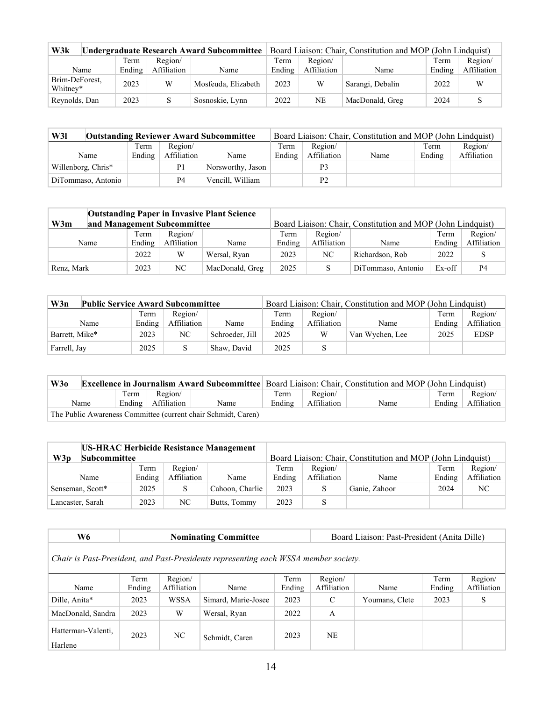| W3k                        |        |             | Undergraduate Research Award Subcommittee | Board Liaison: Chair, Constitution and MOP (John Lindquist) |             |                  |        |             |
|----------------------------|--------|-------------|-------------------------------------------|-------------------------------------------------------------|-------------|------------------|--------|-------------|
|                            | Term   | Region/     |                                           | Term                                                        | Region/     |                  | Term   | Region/     |
| Name                       | Ending | Affiliation | Name                                      | Ending                                                      | Affiliation | Name             | Ending | Affiliation |
| Brim-DeForest,<br>Whitney* | 2023   | W           | Mosfeuda, Elizabeth                       | 2023                                                        | W           | Sarangi, Debalin | 2022   | W           |
| Reynolds, Dan              | 2023   |             | Sosnoskie, Lynn                           | 2022                                                        | <b>NE</b>   | MacDonald, Greg  | 2024   |             |

| W31                | <b>Outstanding Reviewer Award Subcommittee</b> |             |                   |        |                | Board Liaison: Chair, Constitution and MOP (John Lindquist) |        |             |
|--------------------|------------------------------------------------|-------------|-------------------|--------|----------------|-------------------------------------------------------------|--------|-------------|
|                    | Term                                           | Region/     |                   | Term   | Region/        |                                                             | Term   | Region/     |
| Name               | Ending                                         | Affiliation | Name              | Ending | Affiliation    | Name                                                        | Ending | Affiliation |
| Willenborg, Chris* |                                                | P1          | Norsworthy, Jason |        | P3             |                                                             |        |             |
| DiTommaso, Antonio |                                                | P4          | Vencill. William  |        | P <sub>2</sub> |                                                             |        |             |

| <b>Outstanding Paper in Invasive Plant Science</b><br>W3m<br>and Management Subcommittee |                |                        |                 |                |                        | Board Liaison: Chair, Constitution and MOP (John Lindquist) |                |                        |
|------------------------------------------------------------------------------------------|----------------|------------------------|-----------------|----------------|------------------------|-------------------------------------------------------------|----------------|------------------------|
| Name                                                                                     | Term<br>Ending | Region/<br>Affiliation | Name            | Term<br>Ending | Region/<br>Affiliation | Name                                                        | Term<br>Ending | Region/<br>Affiliation |
|                                                                                          | 2022           | W                      | Wersal, Ryan    | 2023           | NC                     | Richardson, Rob                                             | 2022           |                        |
| Renz, Mark                                                                               | 2023           | NC                     | MacDonald, Greg | 2025           |                        | DiTommaso, Antonio                                          | Ex-off         | P <sub>4</sub>         |

| W3n<br><b>Public Service Award Subcommittee</b> |        |             | Board Liaison: Chair, Constitution and MOP (John Lindquist) |        |             |                 |        |             |
|-------------------------------------------------|--------|-------------|-------------------------------------------------------------|--------|-------------|-----------------|--------|-------------|
|                                                 | Term   | Region/     |                                                             | Term   | Region/     |                 | Term   | Region/     |
| Name                                            | Ending | Affiliation | Name                                                        | Ending | Affiliation | Name            | Ending | Affiliation |
| Barrett, Mike*                                  | 2023   | NC          | Schroeder, Jill                                             | 2025   | W           | Van Wychen, Lee | 2025   | <b>EDSP</b> |
| Farrell, Jay                                    | 2025   | S           | Shaw, David                                                 | 2025   |             |                 |        |             |

| W3o  | <b>Excellence in Journalism Award Subcommittee</b> Board Liaison: Chair, Constitution and MOP (John Lindquist) |                                 |                                                               |                |                        |      |                |                        |
|------|----------------------------------------------------------------------------------------------------------------|---------------------------------|---------------------------------------------------------------|----------------|------------------------|------|----------------|------------------------|
| Name | Term                                                                                                           | Region/<br>Ending   Affiliation | Name                                                          | Term<br>Ending | Region/<br>Affiliation | Name | Term<br>Ending | Region/<br>Affiliation |
|      |                                                                                                                |                                 | The Public Awareness Committee (current chair Schmidt, Caren) |                |                        |      |                |                        |

| <b>US-HRAC Herbicide Resistance Management</b> |        |             |                 |        |             |                                                             |        |             |
|------------------------------------------------|--------|-------------|-----------------|--------|-------------|-------------------------------------------------------------|--------|-------------|
| W3p<br><b>Subcommittee</b>                     |        |             |                 |        |             | Board Liaison: Chair, Constitution and MOP (John Lindquist) |        |             |
|                                                | Term   | Region/     |                 | Term   | Region/     |                                                             | Term   | Region/     |
| Name                                           | Ending | Affiliation | Name            | Ending | Affiliation | Name                                                        | Ending | Affiliation |
| Senseman, Scott*                               | 2025   | S           | Cahoon, Charlie | 2023   |             | Ganie, Zahoor                                               | 2024   | NC.         |
| Lancaster, Sarah                               | 2023   | NC          | Butts, Tommy    | 2023   |             |                                                             |        |             |

| W6                                                                                  |        |             | <b>Nominating Committee</b> |        | Board Liaison: Past-President (Anita Dille) |                |        |             |
|-------------------------------------------------------------------------------------|--------|-------------|-----------------------------|--------|---------------------------------------------|----------------|--------|-------------|
| Chair is Past-President, and Past-Presidents representing each WSSA member society. |        |             |                             |        |                                             |                |        |             |
|                                                                                     | Term   | Region/     |                             | Term   | Region/                                     |                | Term   | Region/     |
| Name                                                                                | Ending | Affiliation | Name                        | Ending | Affiliation                                 | Name           | Ending | Affiliation |
| Dille, Anita*                                                                       | 2023   | WSSA        | Simard, Marie-Josee         | 2023   | $\mathcal{C}$                               | Youmans, Clete | 2023   | S           |
| MacDonald, Sandra                                                                   | 2023   | W           | Wersal, Ryan                | 2022   | А                                           |                |        |             |
| Hatterman-Valenti.<br>Harlene                                                       | 2023   | NC.         | Schmidt, Caren              | 2023   | <b>NE</b>                                   |                |        |             |